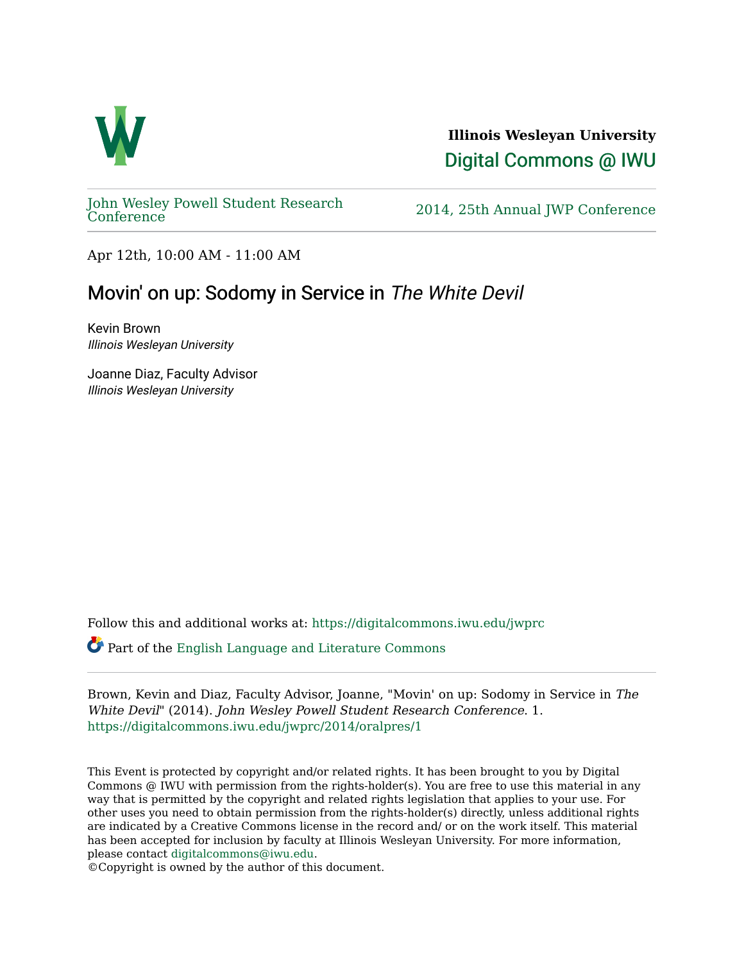

**Illinois Wesleyan University**  [Digital Commons @ IWU](https://digitalcommons.iwu.edu/) 

[John Wesley Powell Student Research](https://digitalcommons.iwu.edu/jwprc) 

2014, 25th Annual JWP [Conference](https://digitalcommons.iwu.edu/jwprc)

Apr 12th, 10:00 AM - 11:00 AM

# Movin' on up: Sodomy in Service in The White Devil

Kevin Brown Illinois Wesleyan University

Joanne Diaz, Faculty Advisor Illinois Wesleyan University

Follow this and additional works at: [https://digitalcommons.iwu.edu/jwprc](https://digitalcommons.iwu.edu/jwprc?utm_source=digitalcommons.iwu.edu%2Fjwprc%2F2014%2Foralpres%2F1&utm_medium=PDF&utm_campaign=PDFCoverPages) 

Part of the [English Language and Literature Commons](http://network.bepress.com/hgg/discipline/455?utm_source=digitalcommons.iwu.edu%2Fjwprc%2F2014%2Foralpres%2F1&utm_medium=PDF&utm_campaign=PDFCoverPages)

Brown, Kevin and Diaz, Faculty Advisor, Joanne, "Movin' on up: Sodomy in Service in The White Devil" (2014). John Wesley Powell Student Research Conference. 1. [https://digitalcommons.iwu.edu/jwprc/2014/oralpres/1](https://digitalcommons.iwu.edu/jwprc/2014/oralpres/1?utm_source=digitalcommons.iwu.edu%2Fjwprc%2F2014%2Foralpres%2F1&utm_medium=PDF&utm_campaign=PDFCoverPages) 

This Event is protected by copyright and/or related rights. It has been brought to you by Digital Commons @ IWU with permission from the rights-holder(s). You are free to use this material in any way that is permitted by the copyright and related rights legislation that applies to your use. For other uses you need to obtain permission from the rights-holder(s) directly, unless additional rights are indicated by a Creative Commons license in the record and/ or on the work itself. This material has been accepted for inclusion by faculty at Illinois Wesleyan University. For more information, please contact [digitalcommons@iwu.edu.](mailto:digitalcommons@iwu.edu)

©Copyright is owned by the author of this document.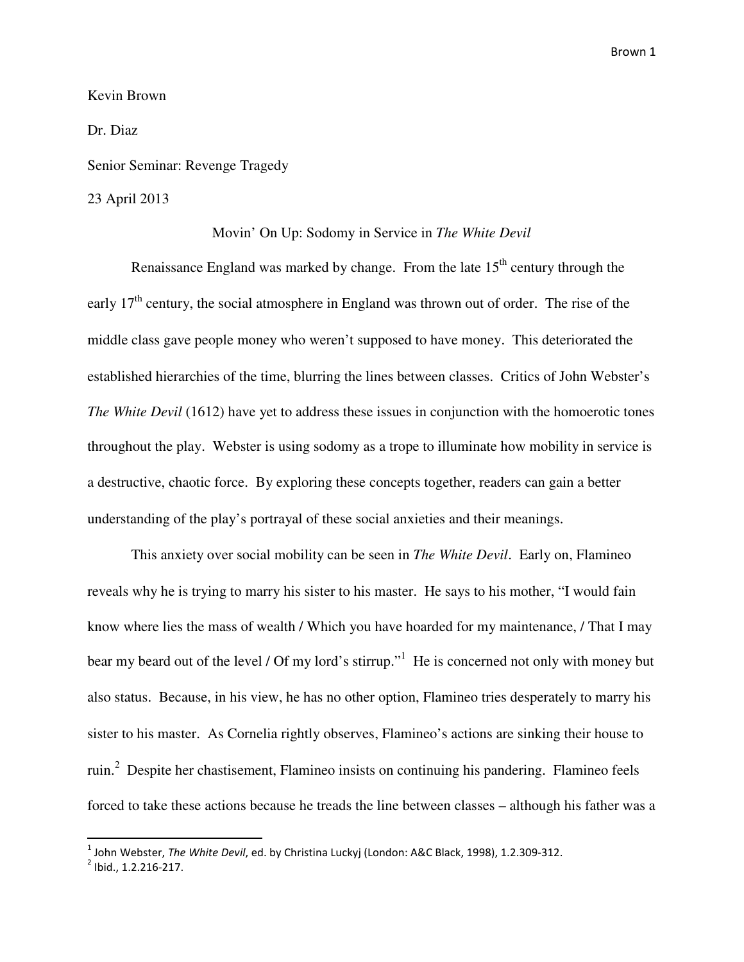## Kevin Brown

Dr. Diaz

Senior Seminar: Revenge Tragedy

#### 23 April 2013

### Movin' On Up: Sodomy in Service in *The White Devil*

Renaissance England was marked by change. From the late  $15<sup>th</sup>$  century through the early  $17<sup>th</sup>$  century, the social atmosphere in England was thrown out of order. The rise of the middle class gave people money who weren't supposed to have money. This deteriorated the established hierarchies of the time, blurring the lines between classes. Critics of John Webster's *The White Devil* (1612) have yet to address these issues in conjunction with the homoerotic tones throughout the play. Webster is using sodomy as a trope to illuminate how mobility in service is a destructive, chaotic force. By exploring these concepts together, readers can gain a better understanding of the play's portrayal of these social anxieties and their meanings.

This anxiety over social mobility can be seen in *The White Devil*. Early on, Flamineo reveals why he is trying to marry his sister to his master. He says to his mother, "I would fain know where lies the mass of wealth / Which you have hoarded for my maintenance, / That I may bear my beard out of the level / Of my lord's stirrup."<sup>1</sup> He is concerned not only with money but also status. Because, in his view, he has no other option, Flamineo tries desperately to marry his sister to his master. As Cornelia rightly observes, Flamineo's actions are sinking their house to ruin.<sup>2</sup> Despite her chastisement, Flamineo insists on continuing his pandering. Flamineo feels forced to take these actions because he treads the line between classes – although his father was a

 $^{\rm 1}$  John Webster, *The White Devil*, ed. by Christina Luckyj (London: A&C Black, 1998), 1.2.309-312.

 $2$  Ibid., 1.2.216-217.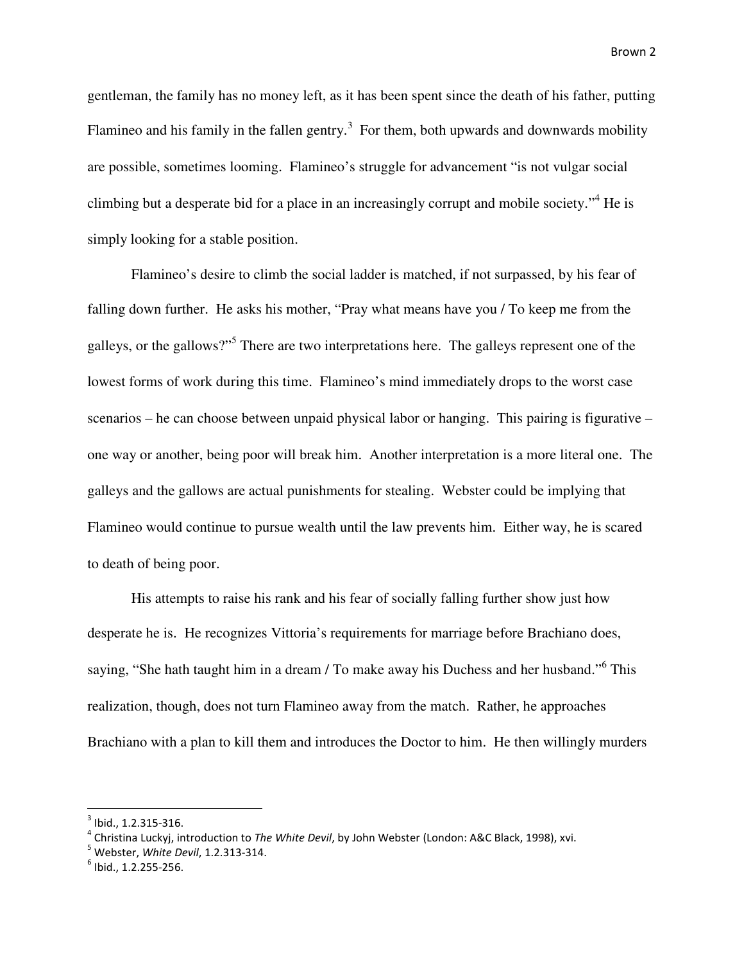gentleman, the family has no money left, as it has been spent since the death of his father, putting Flamineo and his family in the fallen gentry.<sup>3</sup> For them, both upwards and downwards mobility are possible, sometimes looming. Flamineo's struggle for advancement "is not vulgar social climbing but a desperate bid for a place in an increasingly corrupt and mobile society."<sup>4</sup> He is simply looking for a stable position.

 Flamineo's desire to climb the social ladder is matched, if not surpassed, by his fear of falling down further. He asks his mother, "Pray what means have you / To keep me from the galleys, or the gallows?"<sup>5</sup> There are two interpretations here. The galleys represent one of the lowest forms of work during this time. Flamineo's mind immediately drops to the worst case scenarios – he can choose between unpaid physical labor or hanging. This pairing is figurative – one way or another, being poor will break him. Another interpretation is a more literal one. The galleys and the gallows are actual punishments for stealing. Webster could be implying that Flamineo would continue to pursue wealth until the law prevents him. Either way, he is scared to death of being poor.

 His attempts to raise his rank and his fear of socially falling further show just how desperate he is. He recognizes Vittoria's requirements for marriage before Brachiano does, saying, "She hath taught him in a dream / To make away his Duchess and her husband."<sup>6</sup> This realization, though, does not turn Flamineo away from the match. Rather, he approaches Brachiano with a plan to kill them and introduces the Doctor to him. He then willingly murders

 $3$  Ibid., 1.2.315-316.

 $^4$  Christina Luckyj, introduction to *The White Devil*, by John Webster (London: A&C Black, 1998), xvi.

 $<sup>5</sup>$  Webster, White Devil, 1.2.313-314.</sup>

 $<sup>6</sup>$  Ibid., 1.2.255-256.</sup>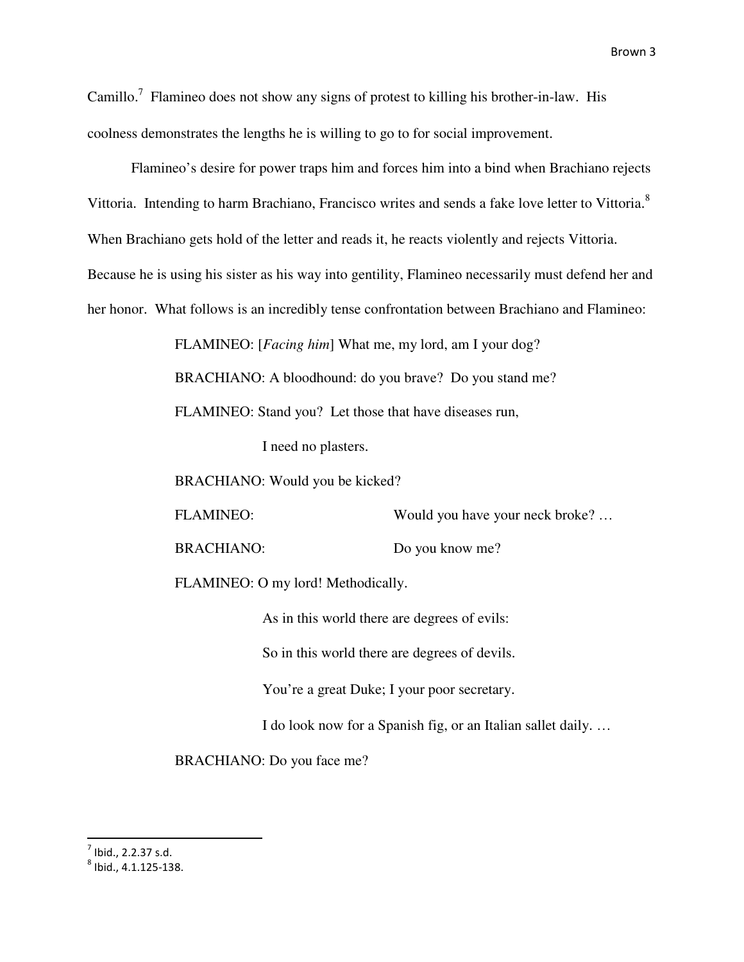Camillo.<sup>7</sup> Flamineo does not show any signs of protest to killing his brother-in-law. His coolness demonstrates the lengths he is willing to go to for social improvement.

Flamineo's desire for power traps him and forces him into a bind when Brachiano rejects Vittoria. Intending to harm Brachiano, Francisco writes and sends a fake love letter to Vittoria.<sup>8</sup> When Brachiano gets hold of the letter and reads it, he reacts violently and rejects Vittoria. Because he is using his sister as his way into gentility, Flamineo necessarily must defend her and her honor. What follows is an incredibly tense confrontation between Brachiano and Flamineo:

FLAMINEO: [*Facing him*] What me, my lord, am I your dog?

BRACHIANO: A bloodhound: do you brave? Do you stand me?

FLAMINEO: Stand you? Let those that have diseases run,

I need no plasters.

BRACHIANO: Would you be kicked?

FLAMINEO: Would you have your neck broke? ...

BRACHIANO: Do you know me?

FLAMINEO: O my lord! Methodically.

As in this world there are degrees of evils:

So in this world there are degrees of devils.

You're a great Duke; I your poor secretary.

I do look now for a Spanish fig, or an Italian sallet daily. …

BRACHIANO: Do you face me?

 $<sup>7</sup>$  Ibid., 2.2.37 s.d.</sup>

 $^8$  Ibid., 4.1.125-138.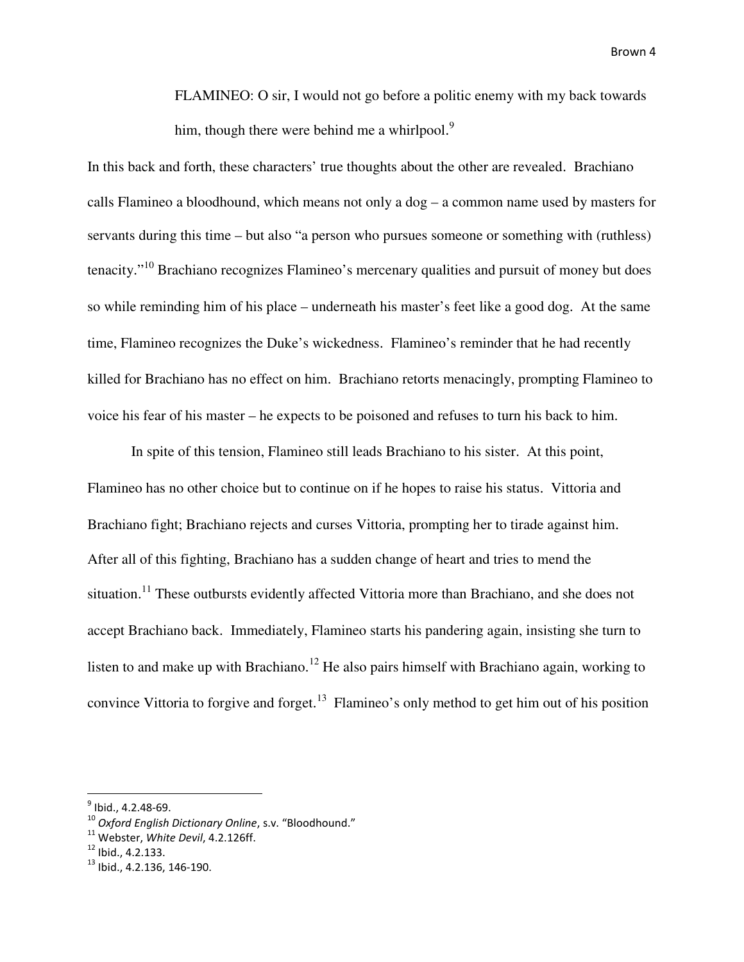FLAMINEO: O sir, I would not go before a politic enemy with my back towards him, though there were behind me a whirlpool.<sup>9</sup>

In this back and forth, these characters' true thoughts about the other are revealed. Brachiano calls Flamineo a bloodhound, which means not only a dog – a common name used by masters for servants during this time – but also "a person who pursues someone or something with (ruthless) tenacity."<sup>10</sup> Brachiano recognizes Flamineo's mercenary qualities and pursuit of money but does so while reminding him of his place – underneath his master's feet like a good dog. At the same time, Flamineo recognizes the Duke's wickedness. Flamineo's reminder that he had recently killed for Brachiano has no effect on him. Brachiano retorts menacingly, prompting Flamineo to voice his fear of his master – he expects to be poisoned and refuses to turn his back to him.

 In spite of this tension, Flamineo still leads Brachiano to his sister. At this point, Flamineo has no other choice but to continue on if he hopes to raise his status. Vittoria and Brachiano fight; Brachiano rejects and curses Vittoria, prompting her to tirade against him. After all of this fighting, Brachiano has a sudden change of heart and tries to mend the situation.<sup>11</sup> These outbursts evidently affected Vittoria more than Brachiano, and she does not accept Brachiano back. Immediately, Flamineo starts his pandering again, insisting she turn to listen to and make up with Brachiano.<sup>12</sup> He also pairs himself with Brachiano again, working to convince Vittoria to forgive and forget.<sup>13</sup> Flamineo's only method to get him out of his position

<u>.</u>

<sup>&</sup>lt;sup>9</sup> Ibid., 4.2.48-69.

<sup>&</sup>lt;sup>10</sup> Oxford English Dictionary Online, s.v. "Bloodhound."

 $11$  Webster, White Devil, 4.2.126ff.

 $12$  Ibid., 4.2.133.

<sup>13</sup> Ibid., 4.2.136, 146-190.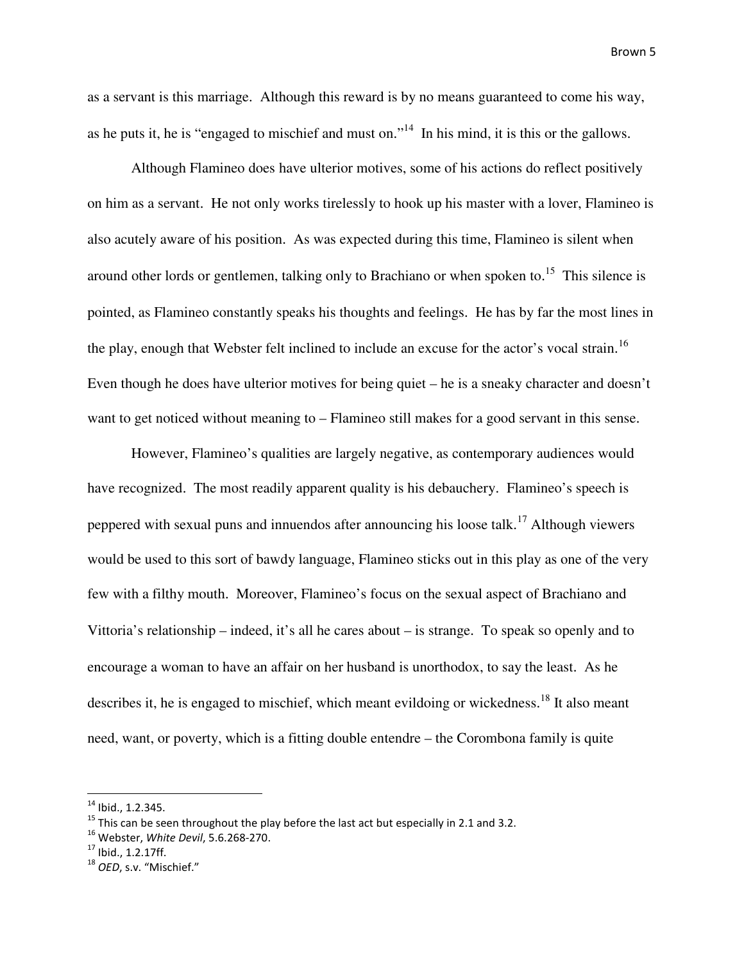as a servant is this marriage. Although this reward is by no means guaranteed to come his way, as he puts it, he is "engaged to mischief and must on."<sup>14</sup> In his mind, it is this or the gallows.

Although Flamineo does have ulterior motives, some of his actions do reflect positively on him as a servant. He not only works tirelessly to hook up his master with a lover, Flamineo is also acutely aware of his position. As was expected during this time, Flamineo is silent when around other lords or gentlemen, talking only to Brachiano or when spoken to.<sup>15</sup> This silence is pointed, as Flamineo constantly speaks his thoughts and feelings. He has by far the most lines in the play, enough that Webster felt inclined to include an excuse for the actor's vocal strain.<sup>16</sup> Even though he does have ulterior motives for being quiet – he is a sneaky character and doesn't want to get noticed without meaning to – Flamineo still makes for a good servant in this sense.

However, Flamineo's qualities are largely negative, as contemporary audiences would have recognized. The most readily apparent quality is his debauchery. Flamineo's speech is peppered with sexual puns and innuendos after announcing his loose talk.<sup>17</sup> Although viewers would be used to this sort of bawdy language, Flamineo sticks out in this play as one of the very few with a filthy mouth. Moreover, Flamineo's focus on the sexual aspect of Brachiano and Vittoria's relationship – indeed, it's all he cares about – is strange. To speak so openly and to encourage a woman to have an affair on her husband is unorthodox, to say the least. As he describes it, he is engaged to mischief, which meant evildoing or wickedness.<sup>18</sup> It also meant need, want, or poverty, which is a fitting double entendre – the Corombona family is quite

 $14$  Ibid., 1.2.345.

 $15$  This can be seen throughout the play before the last act but especially in 2.1 and 3.2.

 $16$  Webster, White Devil, 5.6.268-270.

 $17$  Ibid., 1.2.17ff.

<sup>&</sup>lt;sup>18</sup> OED, s.v. "Mischief."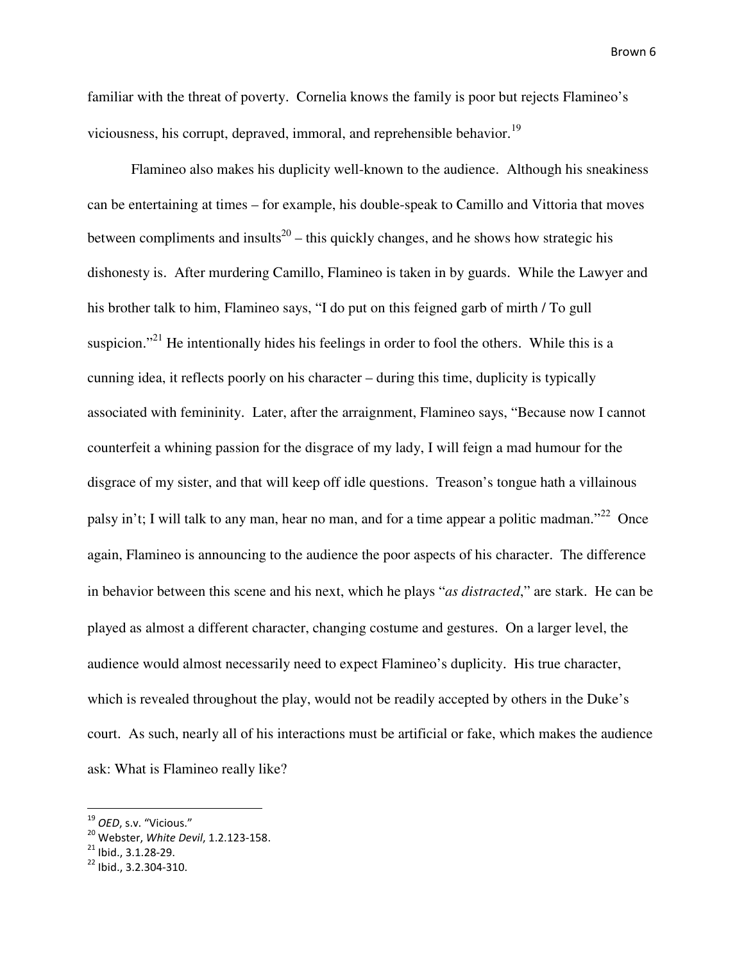familiar with the threat of poverty. Cornelia knows the family is poor but rejects Flamineo's viciousness, his corrupt, depraved, immoral, and reprehensible behavior.<sup>19</sup>

Flamineo also makes his duplicity well-known to the audience. Although his sneakiness can be entertaining at times – for example, his double-speak to Camillo and Vittoria that moves between compliments and insults<sup>20</sup> – this quickly changes, and he shows how strategic his dishonesty is. After murdering Camillo, Flamineo is taken in by guards. While the Lawyer and his brother talk to him, Flamineo says, "I do put on this feigned garb of mirth / To gull suspicion."<sup>21</sup> He intentionally hides his feelings in order to fool the others. While this is a cunning idea, it reflects poorly on his character – during this time, duplicity is typically associated with femininity. Later, after the arraignment, Flamineo says, "Because now I cannot counterfeit a whining passion for the disgrace of my lady, I will feign a mad humour for the disgrace of my sister, and that will keep off idle questions. Treason's tongue hath a villainous palsy in't; I will talk to any man, hear no man, and for a time appear a politic madman."<sup>22</sup> Once again, Flamineo is announcing to the audience the poor aspects of his character. The difference in behavior between this scene and his next, which he plays "*as distracted*," are stark. He can be played as almost a different character, changing costume and gestures. On a larger level, the audience would almost necessarily need to expect Flamineo's duplicity. His true character, which is revealed throughout the play, would not be readily accepted by others in the Duke's court. As such, nearly all of his interactions must be artificial or fake, which makes the audience ask: What is Flamineo really like?

-

<sup>&</sup>lt;sup>19</sup> OED, s.v. "Vicious."

<sup>&</sup>lt;sup>20</sup> Webster, White Devil, 1.2.123-158.

 $21$  Ibid., 3.1.28-29.

<sup>22</sup> Ibid., 3.2.304-310.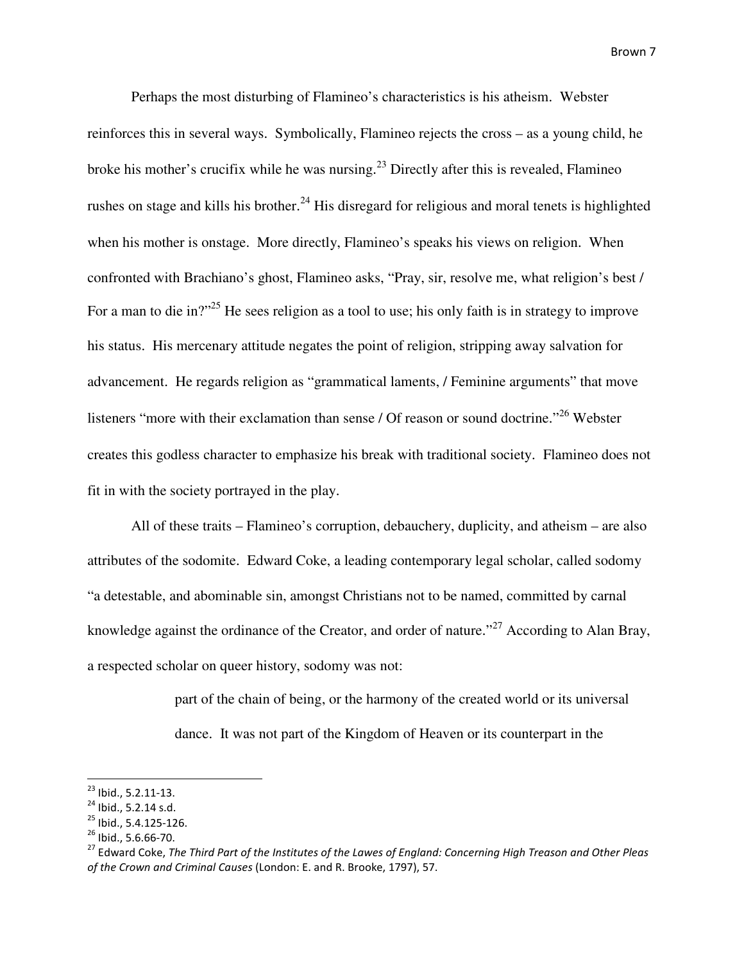Perhaps the most disturbing of Flamineo's characteristics is his atheism. Webster reinforces this in several ways. Symbolically, Flamineo rejects the cross – as a young child, he broke his mother's crucifix while he was nursing.<sup>23</sup> Directly after this is revealed, Flamineo rushes on stage and kills his brother.<sup>24</sup> His disregard for religious and moral tenets is highlighted when his mother is onstage. More directly, Flamineo's speaks his views on religion. When confronted with Brachiano's ghost, Flamineo asks, "Pray, sir, resolve me, what religion's best / For a man to die in?"<sup>25</sup> He sees religion as a tool to use; his only faith is in strategy to improve his status. His mercenary attitude negates the point of religion, stripping away salvation for advancement. He regards religion as "grammatical laments, / Feminine arguments" that move listeners "more with their exclamation than sense / Of reason or sound doctrine."<sup>26</sup> Webster creates this godless character to emphasize his break with traditional society. Flamineo does not fit in with the society portrayed in the play.

All of these traits – Flamineo's corruption, debauchery, duplicity, and atheism – are also attributes of the sodomite. Edward Coke, a leading contemporary legal scholar, called sodomy "a detestable, and abominable sin, amongst Christians not to be named, committed by carnal knowledge against the ordinance of the Creator, and order of nature."<sup>27</sup> According to Alan Bray, a respected scholar on queer history, sodomy was not:

> part of the chain of being, or the harmony of the created world or its universal dance. It was not part of the Kingdom of Heaven or its counterpart in the

-

<sup>23</sup> Ibid., 5.2.11-13.

<sup>&</sup>lt;sup>24</sup> Ibid., 5.2.14 s.d.

<sup>25</sup> Ibid., 5.4.125-126.

<sup>26</sup> Ibid., 5.6.66-70.

<sup>&</sup>lt;sup>27</sup> Edward Coke, The Third Part of the Institutes of the Lawes of England: Concerning High Treason and Other Pleas of the Crown and Criminal Causes (London: E. and R. Brooke, 1797), 57.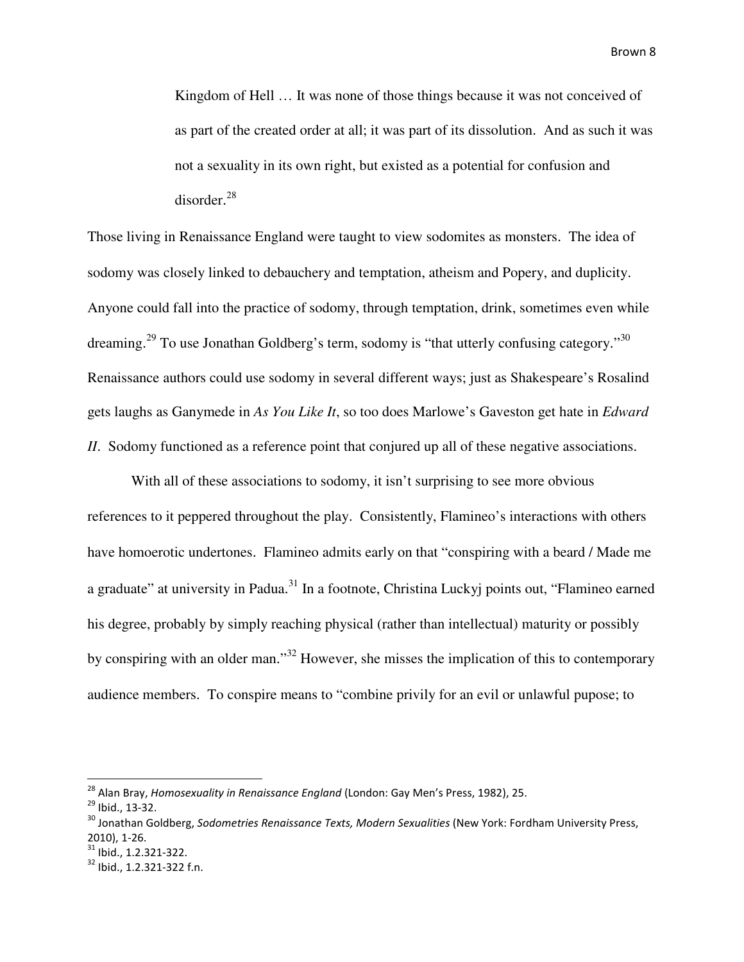Kingdom of Hell … It was none of those things because it was not conceived of as part of the created order at all; it was part of its dissolution. And as such it was not a sexuality in its own right, but existed as a potential for confusion and disorder. 28

Those living in Renaissance England were taught to view sodomites as monsters. The idea of sodomy was closely linked to debauchery and temptation, atheism and Popery, and duplicity. Anyone could fall into the practice of sodomy, through temptation, drink, sometimes even while dreaming.<sup>29</sup> To use Jonathan Goldberg's term, sodomy is "that utterly confusing category."<sup>30</sup> Renaissance authors could use sodomy in several different ways; just as Shakespeare's Rosalind gets laughs as Ganymede in *As You Like It*, so too does Marlowe's Gaveston get hate in *Edward II*. Sodomy functioned as a reference point that conjured up all of these negative associations.

With all of these associations to sodomy, it isn't surprising to see more obvious references to it peppered throughout the play. Consistently, Flamineo's interactions with others have homoerotic undertones. Flamineo admits early on that "conspiring with a beard / Made me a graduate" at university in Padua.<sup>31</sup> In a footnote, Christina Luckyj points out, "Flamineo earned his degree, probably by simply reaching physical (rather than intellectual) maturity or possibly by conspiring with an older man."<sup>32</sup> However, she misses the implication of this to contemporary audience members. To conspire means to "combine privily for an evil or unlawful pupose; to

-

<sup>31</sup> Ibid., 1.2.321-322.

<sup>&</sup>lt;sup>28</sup> Alan Bray, Homosexuality in Renaissance England (London: Gay Men's Press, 1982), 25.

 $^{29}$  Ibid., 13-32.

<sup>&</sup>lt;sup>30</sup> Jonathan Goldberg, Sodometries Renaissance Texts, Modern Sexualities (New York: Fordham University Press, 2010), 1-26.

<sup>32</sup> Ibid., 1.2.321-322 f.n.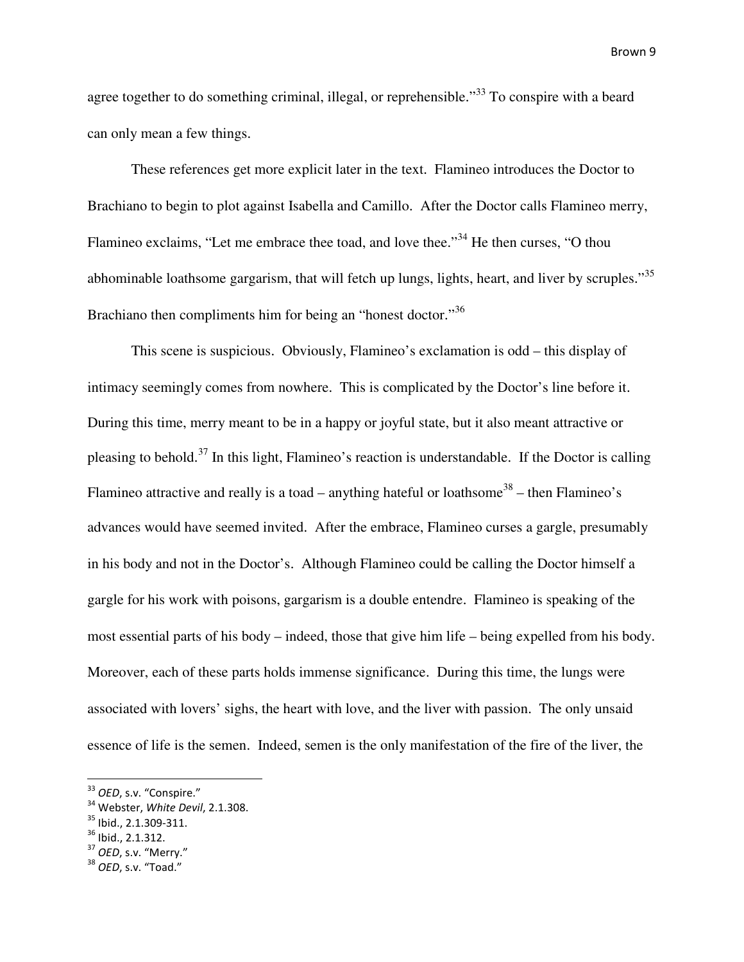agree together to do something criminal, illegal, or reprehensible."<sup>33</sup> To conspire with a beard can only mean a few things.

These references get more explicit later in the text. Flamineo introduces the Doctor to Brachiano to begin to plot against Isabella and Camillo. After the Doctor calls Flamineo merry, Flamineo exclaims, "Let me embrace thee toad, and love thee."<sup>34</sup> He then curses, "O thou abhominable loathsome gargarism, that will fetch up lungs, lights, heart, and liver by scruples."<sup>35</sup> Brachiano then compliments him for being an "honest doctor."<sup>36</sup>

This scene is suspicious. Obviously, Flamineo's exclamation is odd – this display of intimacy seemingly comes from nowhere. This is complicated by the Doctor's line before it. During this time, merry meant to be in a happy or joyful state, but it also meant attractive or pleasing to behold.<sup>37</sup> In this light, Flamineo's reaction is understandable. If the Doctor is calling Flamineo attractive and really is a toad – anything hateful or loathsome<sup>38</sup> – then Flamineo's advances would have seemed invited. After the embrace, Flamineo curses a gargle, presumably in his body and not in the Doctor's. Although Flamineo could be calling the Doctor himself a gargle for his work with poisons, gargarism is a double entendre. Flamineo is speaking of the most essential parts of his body – indeed, those that give him life – being expelled from his body. Moreover, each of these parts holds immense significance. During this time, the lungs were associated with lovers' sighs, the heart with love, and the liver with passion. The only unsaid essence of life is the semen. Indeed, semen is the only manifestation of the fire of the liver, the

<sup>&</sup>lt;sup>33</sup> OED, s.v. "Conspire."

<sup>&</sup>lt;sup>34</sup> Webster, White Devil, 2.1.308.

<sup>35</sup> Ibid., 2.1.309-311.

 $36$  Ibid., 2.1.312.

<sup>&</sup>lt;sup>37</sup> OED, s.v. "Merry."

 $38$  OED, s.v. "Toad."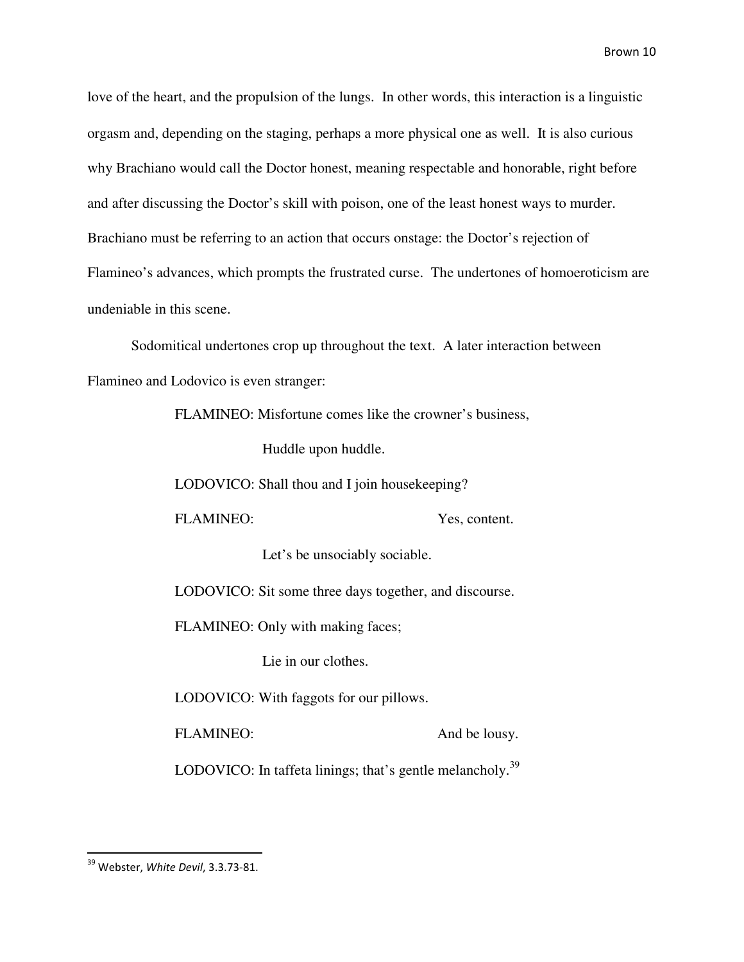love of the heart, and the propulsion of the lungs. In other words, this interaction is a linguistic orgasm and, depending on the staging, perhaps a more physical one as well. It is also curious why Brachiano would call the Doctor honest, meaning respectable and honorable, right before and after discussing the Doctor's skill with poison, one of the least honest ways to murder. Brachiano must be referring to an action that occurs onstage: the Doctor's rejection of Flamineo's advances, which prompts the frustrated curse. The undertones of homoeroticism are undeniable in this scene.

 Sodomitical undertones crop up throughout the text. A later interaction between Flamineo and Lodovico is even stranger:

FLAMINEO: Misfortune comes like the crowner's business,

Huddle upon huddle.

LODOVICO: Shall thou and I join housekeeping?

FLAMINEO: Yes, content.

Let's be unsociably sociable.

LODOVICO: Sit some three days together, and discourse.

FLAMINEO: Only with making faces;

Lie in our clothes.

LODOVICO: With faggots for our pillows.

FLAMINEO: And be lousy.

LODOVICO: In taffeta linings; that's gentle melancholy.<sup>39</sup>

.<br>-

<sup>&</sup>lt;sup>39</sup> Webster, White Devil, 3.3.73-81.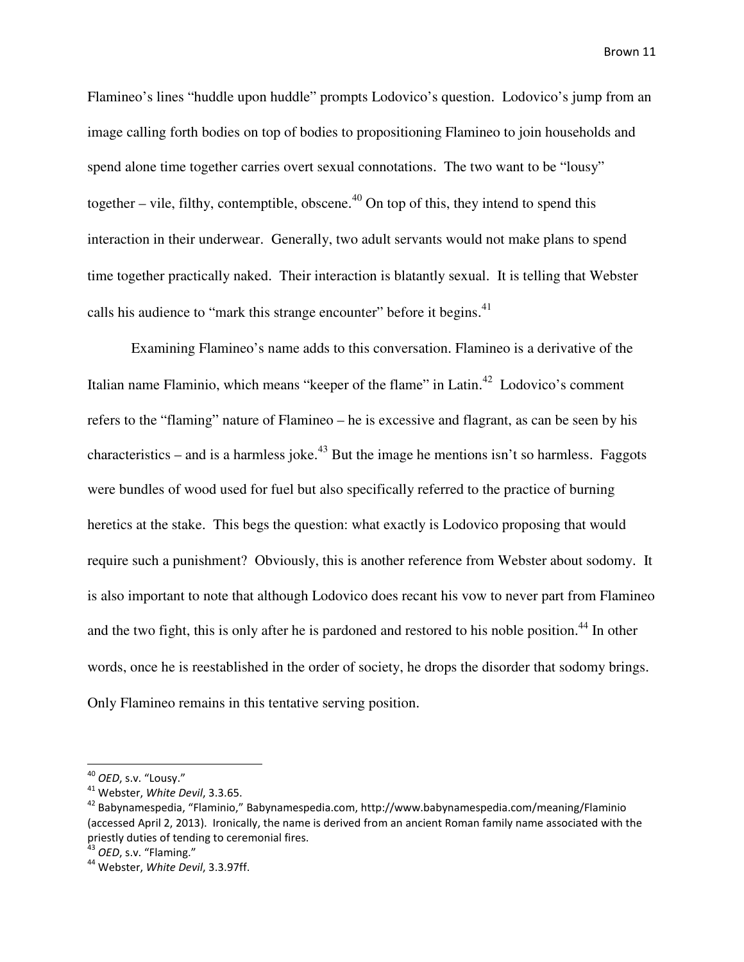Flamineo's lines "huddle upon huddle" prompts Lodovico's question. Lodovico's jump from an image calling forth bodies on top of bodies to propositioning Flamineo to join households and spend alone time together carries overt sexual connotations. The two want to be "lousy" together  $-$  vile, filthy, contemptible, obscene.<sup>40</sup> On top of this, they intend to spend this interaction in their underwear. Generally, two adult servants would not make plans to spend time together practically naked. Their interaction is blatantly sexual. It is telling that Webster calls his audience to "mark this strange encounter" before it begins.<sup>41</sup>

 Examining Flamineo's name adds to this conversation. Flamineo is a derivative of the Italian name Flaminio, which means "keeper of the flame" in Latin.<sup>42</sup> Lodovico's comment refers to the "flaming" nature of Flamineo – he is excessive and flagrant, as can be seen by his characteristics – and is a harmless joke.<sup>43</sup> But the image he mentions isn't so harmless. Faggots were bundles of wood used for fuel but also specifically referred to the practice of burning heretics at the stake. This begs the question: what exactly is Lodovico proposing that would require such a punishment? Obviously, this is another reference from Webster about sodomy. It is also important to note that although Lodovico does recant his vow to never part from Flamineo and the two fight, this is only after he is pardoned and restored to his noble position.<sup>44</sup> In other words, once he is reestablished in the order of society, he drops the disorder that sodomy brings. Only Flamineo remains in this tentative serving position.

<sup>&</sup>lt;sup>40</sup> OED, s.v. "Lousy."

<sup>41</sup> Webster, White Devil, 3.3.65.

<sup>42</sup> Babynamespedia, "Flaminio," Babynamespedia.com, http://www.babynamespedia.com/meaning/Flaminio (accessed April 2, 2013). Ironically, the name is derived from an ancient Roman family name associated with the priestly duties of tending to ceremonial fires.

 $43$  OED, s.v. "Flaming."

<sup>&</sup>lt;sup>44</sup> Webster, White Devil, 3.3.97ff.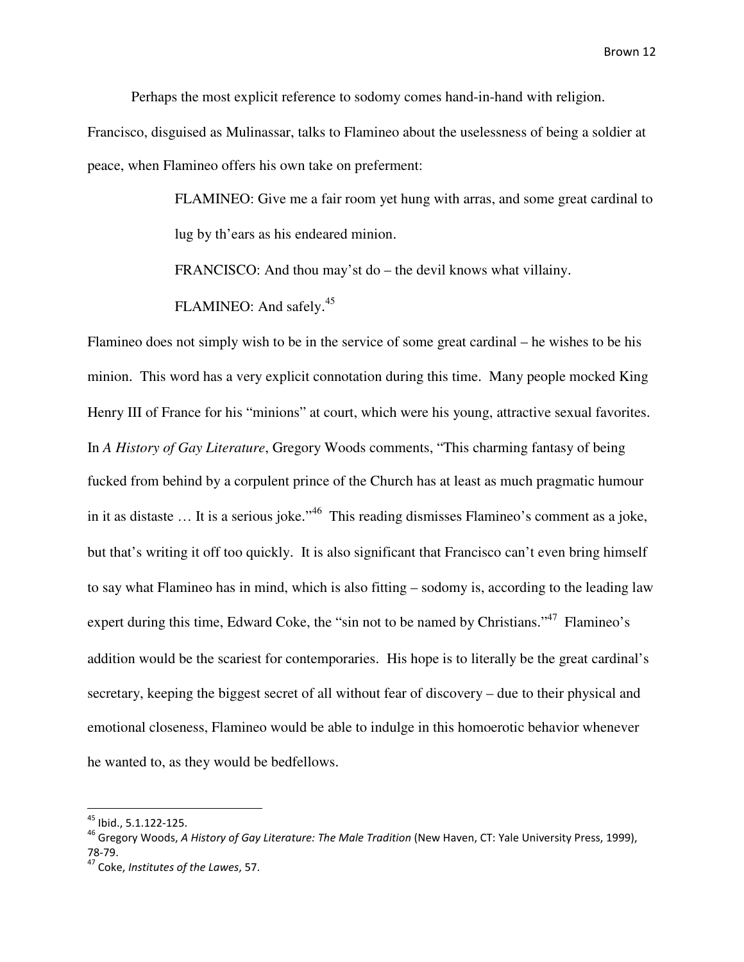Perhaps the most explicit reference to sodomy comes hand-in-hand with religion.

Francisco, disguised as Mulinassar, talks to Flamineo about the uselessness of being a soldier at peace, when Flamineo offers his own take on preferment:

> FLAMINEO: Give me a fair room yet hung with arras, and some great cardinal to lug by th'ears as his endeared minion.

FRANCISCO: And thou may'st do – the devil knows what villainy.

FLAMINEO: And safely.<sup>45</sup>

Flamineo does not simply wish to be in the service of some great cardinal – he wishes to be his minion. This word has a very explicit connotation during this time. Many people mocked King Henry III of France for his "minions" at court, which were his young, attractive sexual favorites. In *A History of Gay Literature*, Gregory Woods comments, "This charming fantasy of being fucked from behind by a corpulent prince of the Church has at least as much pragmatic humour in it as distaste ... It is a serious joke."<sup>46</sup> This reading dismisses Flamineo's comment as a joke, but that's writing it off too quickly. It is also significant that Francisco can't even bring himself to say what Flamineo has in mind, which is also fitting – sodomy is, according to the leading law expert during this time, Edward Coke, the "sin not to be named by Christians."<sup>47</sup> Flamineo's addition would be the scariest for contemporaries. His hope is to literally be the great cardinal's secretary, keeping the biggest secret of all without fear of discovery – due to their physical and emotional closeness, Flamineo would be able to indulge in this homoerotic behavior whenever he wanted to, as they would be bedfellows.

-

<sup>&</sup>lt;sup>45</sup> Ibid., 5.1.122-125.

<sup>&</sup>lt;sup>46</sup> Gregory Woods, A History of Gay Literature: The Male Tradition (New Haven, CT: Yale University Press, 1999), 78-79.

 $47$  Coke, Institutes of the Lawes, 57.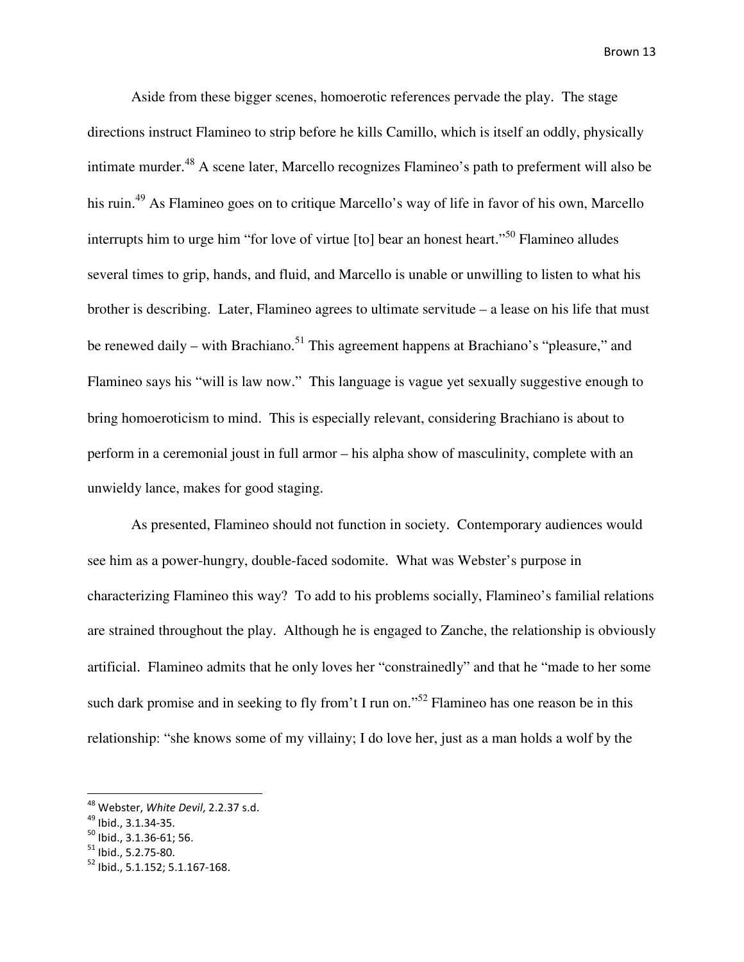Aside from these bigger scenes, homoerotic references pervade the play. The stage directions instruct Flamineo to strip before he kills Camillo, which is itself an oddly, physically intimate murder. <sup>48</sup> A scene later, Marcello recognizes Flamineo's path to preferment will also be his ruin. <sup>49</sup> As Flamineo goes on to critique Marcello's way of life in favor of his own, Marcello interrupts him to urge him "for love of virtue [to] bear an honest heart."<sup>50</sup> Flamineo alludes several times to grip, hands, and fluid, and Marcello is unable or unwilling to listen to what his brother is describing. Later, Flamineo agrees to ultimate servitude – a lease on his life that must be renewed daily – with Brachiano.<sup>51</sup> This agreement happens at Brachiano's "pleasure," and Flamineo says his "will is law now." This language is vague yet sexually suggestive enough to bring homoeroticism to mind. This is especially relevant, considering Brachiano is about to perform in a ceremonial joust in full armor – his alpha show of masculinity, complete with an unwieldy lance, makes for good staging.

 As presented, Flamineo should not function in society. Contemporary audiences would see him as a power-hungry, double-faced sodomite. What was Webster's purpose in characterizing Flamineo this way? To add to his problems socially, Flamineo's familial relations are strained throughout the play. Although he is engaged to Zanche, the relationship is obviously artificial. Flamineo admits that he only loves her "constrainedly" and that he "made to her some such dark promise and in seeking to fly from't I run on."<sup>52</sup> Flamineo has one reason be in this relationship: "she knows some of my villainy; I do love her, just as a man holds a wolf by the

<sup>&</sup>lt;sup>48</sup> Webster, White Devil, 2.2.37 s.d.

<sup>49</sup> Ibid., 3.1.34-35.

 $50$  Ibid., 3.1.36-61; 56.

 $51$  Ibid., 5.2.75-80.

<sup>52</sup> Ibid., 5.1.152; 5.1.167-168.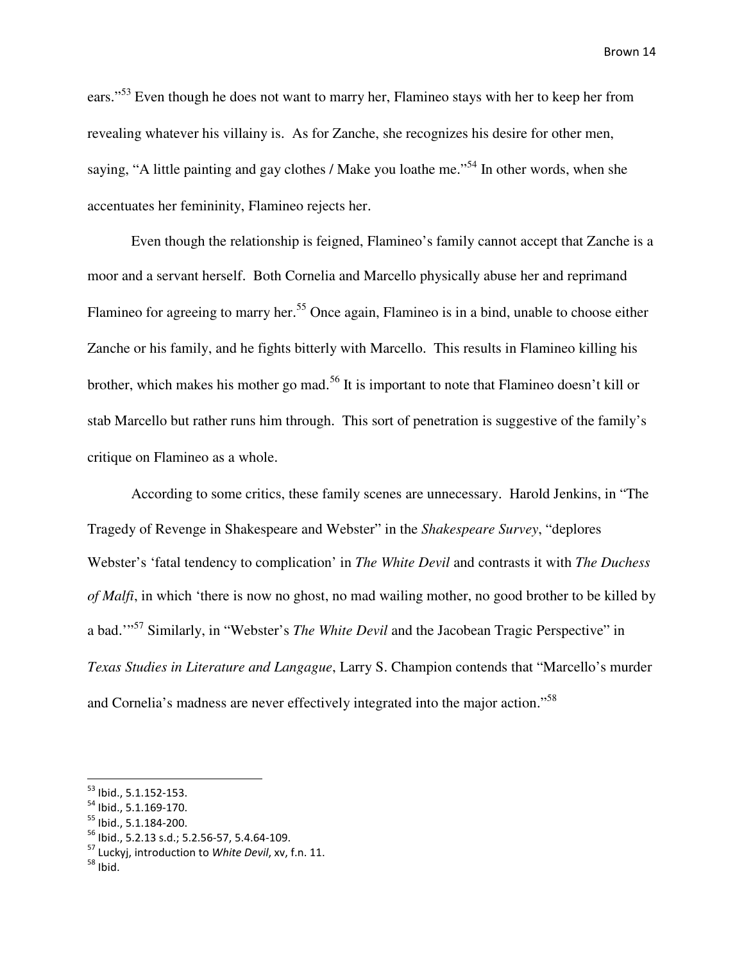ears."<sup>53</sup> Even though he does not want to marry her, Flamineo stays with her to keep her from revealing whatever his villainy is. As for Zanche, she recognizes his desire for other men, saying, "A little painting and gay clothes / Make you loathe me."<sup>54</sup> In other words, when she accentuates her femininity, Flamineo rejects her.

Even though the relationship is feigned, Flamineo's family cannot accept that Zanche is a moor and a servant herself. Both Cornelia and Marcello physically abuse her and reprimand Flamineo for agreeing to marry her.<sup>55</sup> Once again, Flamineo is in a bind, unable to choose either Zanche or his family, and he fights bitterly with Marcello. This results in Flamineo killing his brother, which makes his mother go mad.<sup>56</sup> It is important to note that Flamineo doesn't kill or stab Marcello but rather runs him through. This sort of penetration is suggestive of the family's critique on Flamineo as a whole.

According to some critics, these family scenes are unnecessary. Harold Jenkins, in "The Tragedy of Revenge in Shakespeare and Webster" in the *Shakespeare Survey*, "deplores Webster's 'fatal tendency to complication' in *The White Devil* and contrasts it with *The Duchess of Malfi*, in which 'there is now no ghost, no mad wailing mother, no good brother to be killed by a bad.'"<sup>57</sup> Similarly, in "Webster's *The White Devil* and the Jacobean Tragic Perspective" in *Texas Studies in Literature and Langague*, Larry S. Champion contends that "Marcello's murder and Cornelia's madness are never effectively integrated into the major action."<sup>58</sup>

<sup>53</sup> Ibid., 5.1.152-153.

<sup>54</sup> Ibid., 5.1.169-170.

<sup>55</sup> Ibid., 5.1.184-200.

<sup>56</sup> Ibid., 5.2.13 s.d.; 5.2.56-57, 5.4.64-109.

<sup>&</sup>lt;sup>57</sup> Luckyj, introduction to White Devil, xv, f.n. 11.

 $58$  Ibid.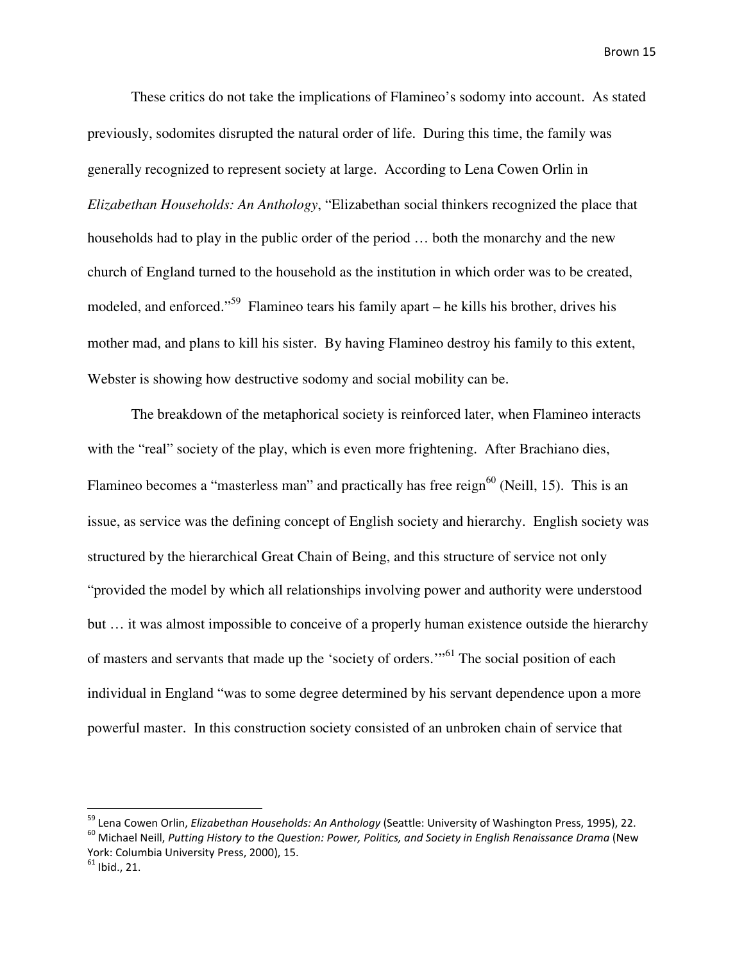These critics do not take the implications of Flamineo's sodomy into account. As stated previously, sodomites disrupted the natural order of life. During this time, the family was generally recognized to represent society at large. According to Lena Cowen Orlin in *Elizabethan Households: An Anthology*, "Elizabethan social thinkers recognized the place that households had to play in the public order of the period … both the monarchy and the new church of England turned to the household as the institution in which order was to be created, modeled, and enforced."<sup>59</sup> Flamineo tears his family apart – he kills his brother, drives his mother mad, and plans to kill his sister. By having Flamineo destroy his family to this extent, Webster is showing how destructive sodomy and social mobility can be.

The breakdown of the metaphorical society is reinforced later, when Flamineo interacts with the "real" society of the play, which is even more frightening. After Brachiano dies, Flamineo becomes a "masterless man" and practically has free reign $^{60}$  (Neill, 15). This is an issue, as service was the defining concept of English society and hierarchy. English society was structured by the hierarchical Great Chain of Being, and this structure of service not only "provided the model by which all relationships involving power and authority were understood but … it was almost impossible to conceive of a properly human existence outside the hierarchy of masters and servants that made up the 'society of orders.'"<sup>61</sup> The social position of each individual in England "was to some degree determined by his servant dependence upon a more powerful master. In this construction society consisted of an unbroken chain of service that

<sup>&</sup>lt;sup>59</sup> Lena Cowen Orlin, *Elizabethan Households: An Anthology* (Seattle: University of Washington Press, 1995), 22. <sup>60</sup> Michael Neill, Putting History to the Question: Power, Politics, and Society in English Renaissance Drama (New

York: Columbia University Press, 2000), 15.

 $61$  Ibid., 21.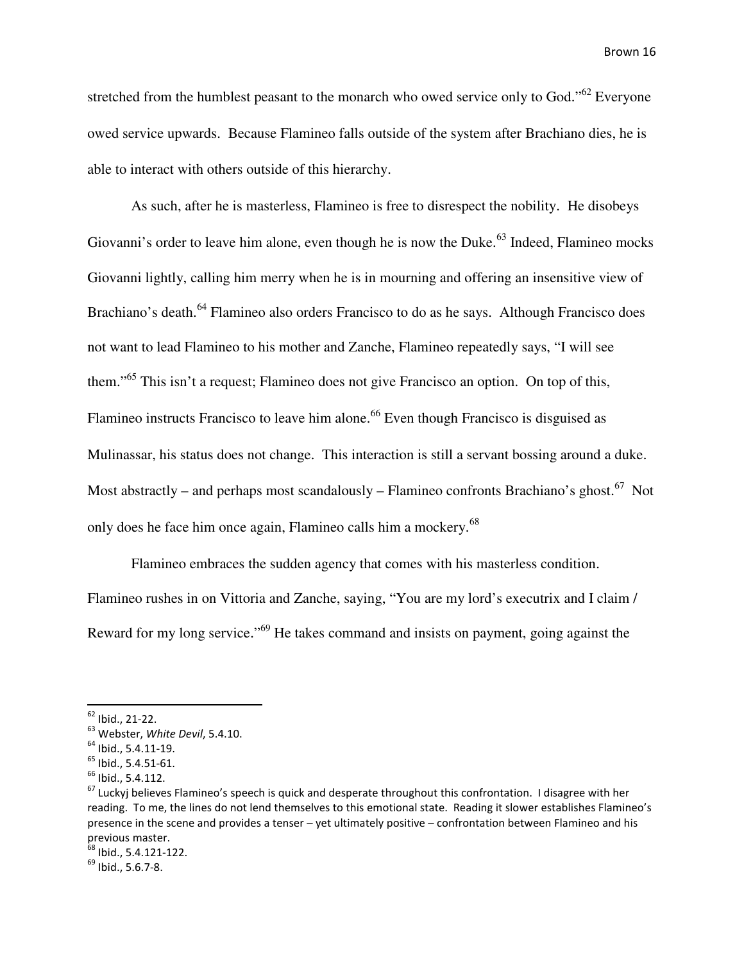stretched from the humblest peasant to the monarch who owed service only to God."<sup>62</sup> Everyone owed service upwards. Because Flamineo falls outside of the system after Brachiano dies, he is able to interact with others outside of this hierarchy.

As such, after he is masterless, Flamineo is free to disrespect the nobility. He disobeys Giovanni's order to leave him alone, even though he is now the Duke.<sup>63</sup> Indeed, Flamineo mocks Giovanni lightly, calling him merry when he is in mourning and offering an insensitive view of Brachiano's death.<sup>64</sup> Flamineo also orders Francisco to do as he says. Although Francisco does not want to lead Flamineo to his mother and Zanche, Flamineo repeatedly says, "I will see them."<sup>65</sup> This isn't a request; Flamineo does not give Francisco an option. On top of this, Flamineo instructs Francisco to leave him alone.<sup>66</sup> Even though Francisco is disguised as Mulinassar, his status does not change. This interaction is still a servant bossing around a duke. Most abstractly – and perhaps most scandalously – Flamineo confronts Brachiano's ghost.<sup>67</sup> Not only does he face him once again, Flamineo calls him a mockery.<sup>68</sup>

 Flamineo embraces the sudden agency that comes with his masterless condition. Flamineo rushes in on Vittoria and Zanche, saying, "You are my lord's executrix and I claim / Reward for my long service."<sup>69</sup> He takes command and insists on payment, going against the

<u>.</u>

<sup>62</sup> Ibid., 21-22.

 $^{63}$  Webster, White Devil, 5.4.10.

<sup>64</sup> Ibid., 5.4.11-19.

 $<sup>65</sup>$  Ibid., 5.4.51-61.</sup>

 $<sup>66</sup>$  Ibid., 5.4.112.</sup>

<sup>&</sup>lt;sup>67</sup> Luckyj believes Flamineo's speech is quick and desperate throughout this confrontation. I disagree with her reading. To me, the lines do not lend themselves to this emotional state. Reading it slower establishes Flamineo's presence in the scene and provides a tenser – yet ultimately positive – confrontation between Flamineo and his previous master.

 $68$  Ibid., 5.4.121-122.

 $^{69}$  Ibid., 5.6.7-8.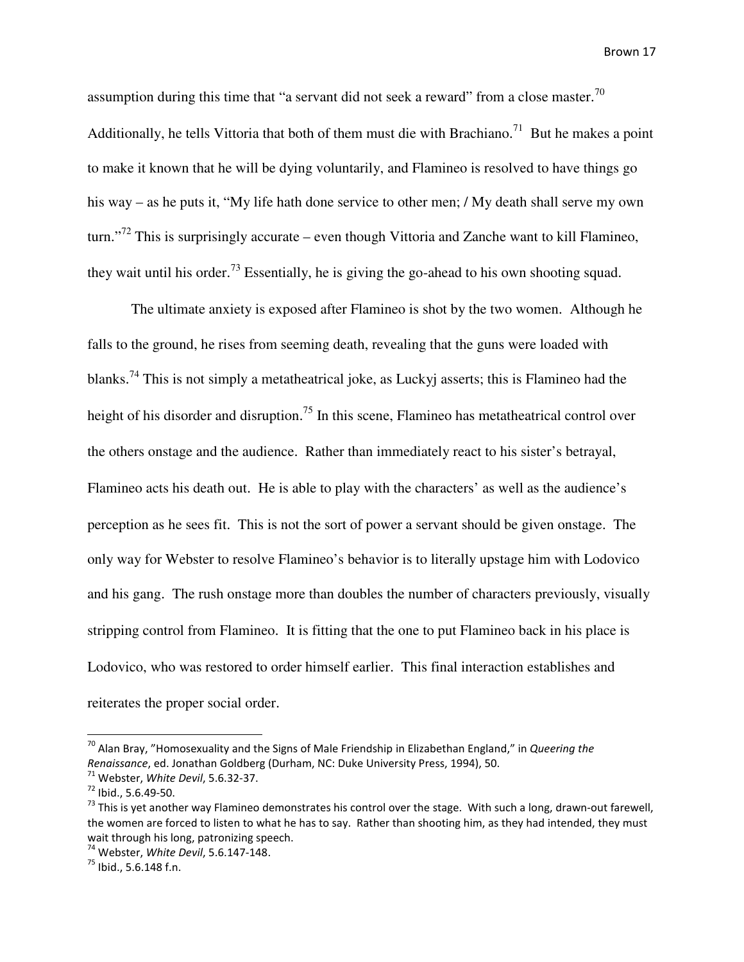assumption during this time that "a servant did not seek a reward" from a close master.<sup>70</sup> Additionally, he tells Vittoria that both of them must die with Brachiano.<sup>71</sup> But he makes a point to make it known that he will be dying voluntarily, and Flamineo is resolved to have things go his way – as he puts it, "My life hath done service to other men; / My death shall serve my own turn."<sup>72</sup> This is surprisingly accurate – even though Vittoria and Zanche want to kill Flamineo, they wait until his order.<sup>73</sup> Essentially, he is giving the go-ahead to his own shooting squad.

 The ultimate anxiety is exposed after Flamineo is shot by the two women. Although he falls to the ground, he rises from seeming death, revealing that the guns were loaded with blanks.<sup>74</sup> This is not simply a metatheatrical joke, as Luckyj asserts; this is Flamineo had the height of his disorder and disruption.<sup>75</sup> In this scene, Flamineo has metatheatrical control over the others onstage and the audience. Rather than immediately react to his sister's betrayal, Flamineo acts his death out. He is able to play with the characters' as well as the audience's perception as he sees fit. This is not the sort of power a servant should be given onstage. The only way for Webster to resolve Flamineo's behavior is to literally upstage him with Lodovico and his gang. The rush onstage more than doubles the number of characters previously, visually stripping control from Flamineo. It is fitting that the one to put Flamineo back in his place is Lodovico, who was restored to order himself earlier. This final interaction establishes and reiterates the proper social order.

<u>.</u>

 $70$  Alan Bray, "Homosexuality and the Signs of Male Friendship in Elizabethan England," in Queering the Renaissance, ed. Jonathan Goldberg (Durham, NC: Duke University Press, 1994), 50.

 $71$  Webster, White Devil, 5.6.32-37.

<sup>72</sup> Ibid., 5.6.49-50.

 $73$  This is yet another way Flamineo demonstrates his control over the stage. With such a long, drawn-out farewell, the women are forced to listen to what he has to say. Rather than shooting him, as they had intended, they must wait through his long, patronizing speech.

<sup>74</sup> Webster, White Devil, 5.6.147-148.

 $^{75}$  Ibid., 5.6.148 f.n.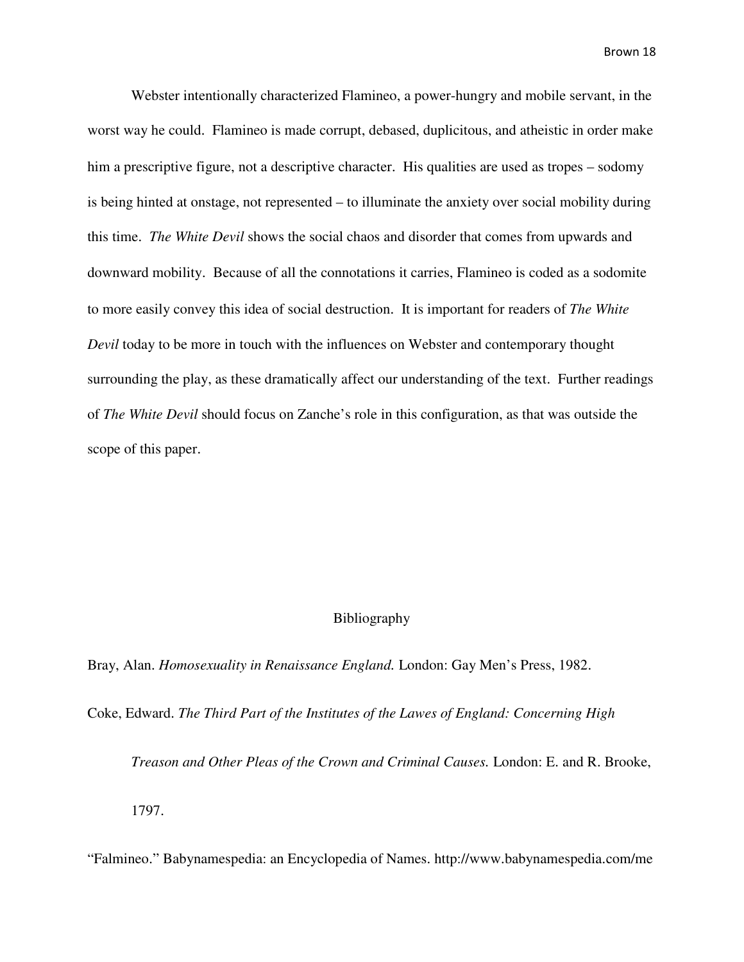Webster intentionally characterized Flamineo, a power-hungry and mobile servant, in the worst way he could. Flamineo is made corrupt, debased, duplicitous, and atheistic in order make him a prescriptive figure, not a descriptive character. His qualities are used as tropes – sodomy is being hinted at onstage, not represented – to illuminate the anxiety over social mobility during this time. *The White Devil* shows the social chaos and disorder that comes from upwards and downward mobility. Because of all the connotations it carries, Flamineo is coded as a sodomite to more easily convey this idea of social destruction. It is important for readers of *The White Devil* today to be more in touch with the influences on Webster and contemporary thought surrounding the play, as these dramatically affect our understanding of the text. Further readings of *The White Devil* should focus on Zanche's role in this configuration, as that was outside the scope of this paper.

## Bibliography

Bray, Alan. *Homosexuality in Renaissance England.* London: Gay Men's Press, 1982.

Coke, Edward. *The Third Part of the Institutes of the Lawes of England: Concerning High* 

*Treason and Other Pleas of the Crown and Criminal Causes.* London: E. and R. Brooke,

1797.

"Falmineo." Babynamespedia: an Encyclopedia of Names. http://www.babynamespedia.com/me